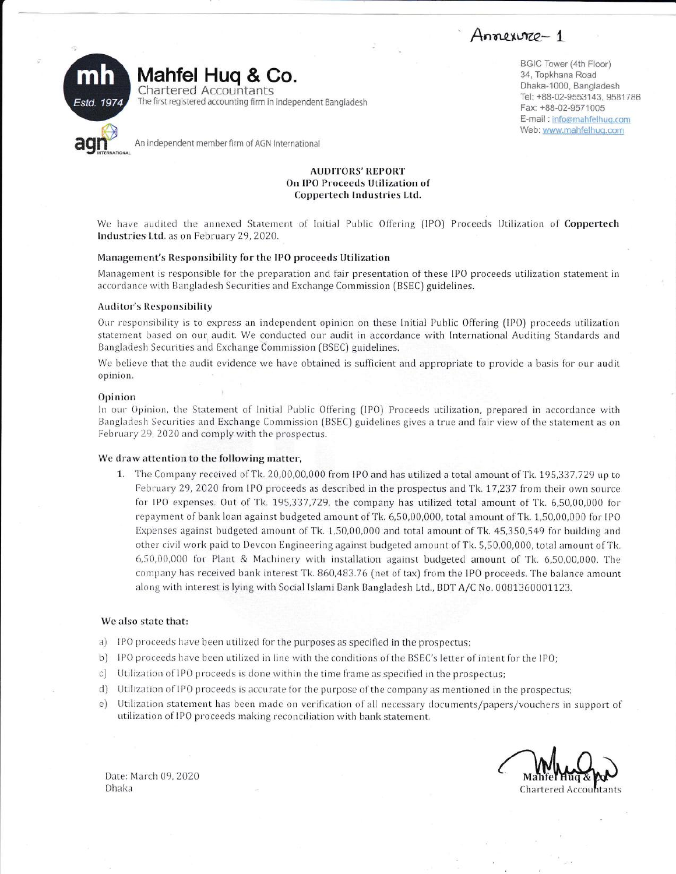Annexure - 1



BGIC Tower (4th Floor) 34, Topkhana Road Dhaka-1000, Bangladesh Tel: +88-02-9553143, 9581786 Fax: +88-02-9571005 E-mail: info@mahfelhug.com Web: www.mahfelhuq.com

Coppertech Industries Ltd. We have audited the annexed Statement of Initial Public Offering (IPO) Proceeds Utilization of Coppertech

**AUDITORS' REPORT** On IPO Proceeds Utilization of

### Management's Responsibility for the IPO proceeds Utilization

Management is responsible for the preparation and fair presentation of these IPO proceeds utilization statement in accordance with Bangladesh Securities and Exchange Commission (BSEC) guidelines.

## **Auditor's Responsibility**

Industries Ltd. as on February 29, 2020.

Our responsibility is to express an independent opinion on these Initial Public Offering (IPO) proceeds utilization statement based on our audit. We conducted our audit in accordance with International Auditing Standards and Bangladesh Securities and Exchange Commission (BSEC) guidelines.

We believe that the audit evidence we have obtained is sufficient and appropriate to provide a basis for our audit opinion.

### Opinion

In our Opinion, the Statement of Initial Public Offering (IPO) Proceeds utilization, prepared in accordance with Bangladesh Securities and Exchange Commission (BSEC) guidelines gives a true and fair view of the statement as on February 29, 2020 and comply with the prospectus.

## We draw attention to the following matter,

1. The Company received of Tk. 20,00,00,000 from IPO and has utilized a total amount of Tk. 195,337,729 up to February 29, 2020 from IPO proceeds as described in the prospectus and Tk. 17,237 from their own source for IPO expenses. Out of Tk. 195,337,729, the company has utilized total amount of Tk. 6,50,00,000 for repayment of bank loan against budgeted amount of Tk. 6,50,00,000, total amount of Tk. 1,50,00,000 for IPO Expenses against budgeted amount of Tk. 1,50,00,000 and total amount of Tk. 45,350,549 for building and other civil work paid to Devcon Engineering against budgeted amount of Tk. 5,50,00,000, total amount of Tk. 6,50,00,000 for Plant & Machinery with installation against budgeted amount of Tk. 6,50,00,000. The company has received bank interest Tk. 860,483.76 (net of tax) from the IPO proceeds. The balance amount along with interest is lying with Social Islami Bank Bangladesh Ltd., BDT A/C No. 0081360001123.

# We also state that:

- a) IPO proceeds have been utilized for the purposes as specified in the prospectus;
- b) IPO proceeds have been utilized in line with the conditions of the BSEC's letter of intent for the IPO;
- c) Utilization of IPO proceeds is done within the time frame as specified in the prospectus;
- d) Utilization of IPO proceeds is accurate for the purpose of the company as mentioned in the prospectus;
- e) Utilization statement has been made on verification of all necessary documents/papers/vouchers in support of utilization of IPO proceeds making reconciliation with bank statement.

Chartered Accountants

Date: March 09, 2020 Dhaka